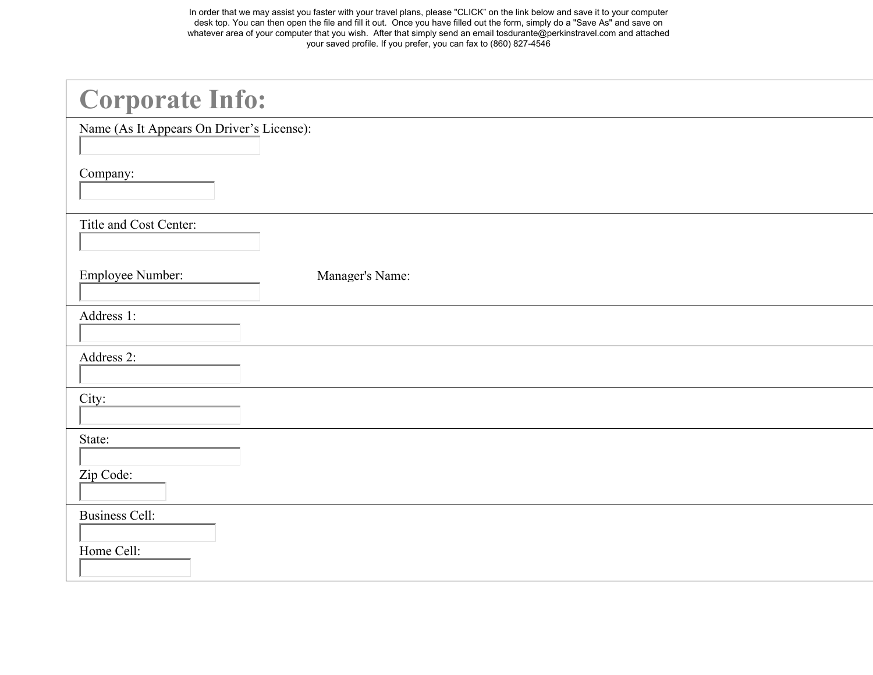In order that we may assist you faster with your travel plans, please "CLICK" on the link below and save it to your computer desk top. You can then open the file and fill it out. Once you have filled out the form, simply do a "Save As" and save on whatever area of your computer that you wish. After that simply send an email tosdurante@perkinstravel.com and attached your saved profile. If you prefer, you can fax to (860) 827-4546

| <b>Corporate Info:</b>                    |                 |
|-------------------------------------------|-----------------|
| Name (As It Appears On Driver's License): |                 |
| Company:                                  |                 |
| Title and Cost Center:                    |                 |
| Employee Number:                          | Manager's Name: |
| Address 1:                                |                 |
| Address 2:                                |                 |
| City:                                     |                 |
| State:<br>Zip Code:                       |                 |
| <b>Business Cell:</b><br>Home Cell:       |                 |
|                                           |                 |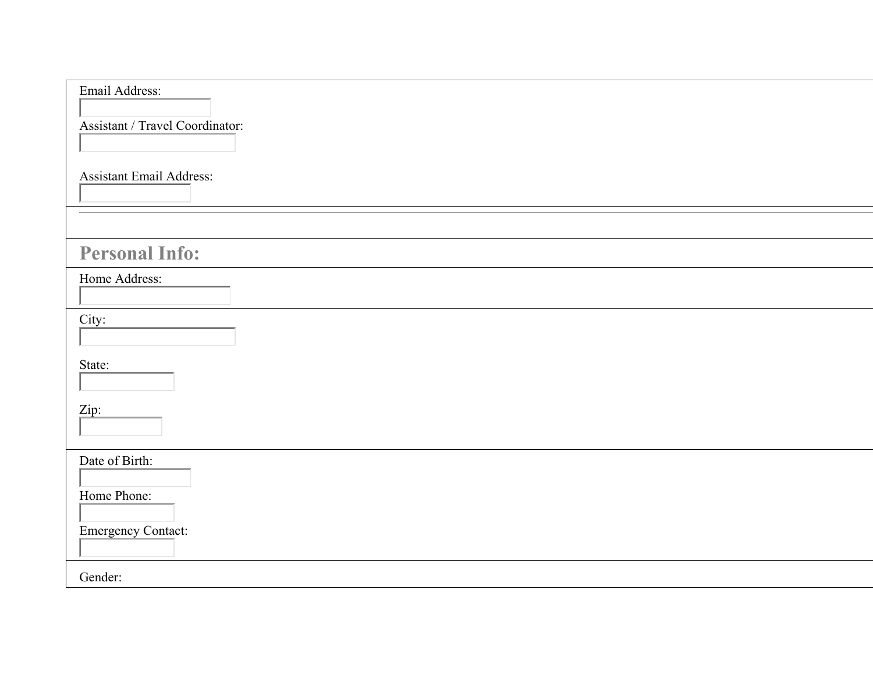| Email Address:<br>Assistant / Travel Coordinator: |
|---------------------------------------------------|
| <b>Assistant Email Address:</b>                   |
|                                                   |
| <b>Personal Info:</b>                             |
| Home Address:                                     |
| City:                                             |
| State:                                            |
| Zip:                                              |
| Date of Birth:<br>Home Phone:                     |
| <b>Emergency Contact:</b>                         |
| Gender:                                           |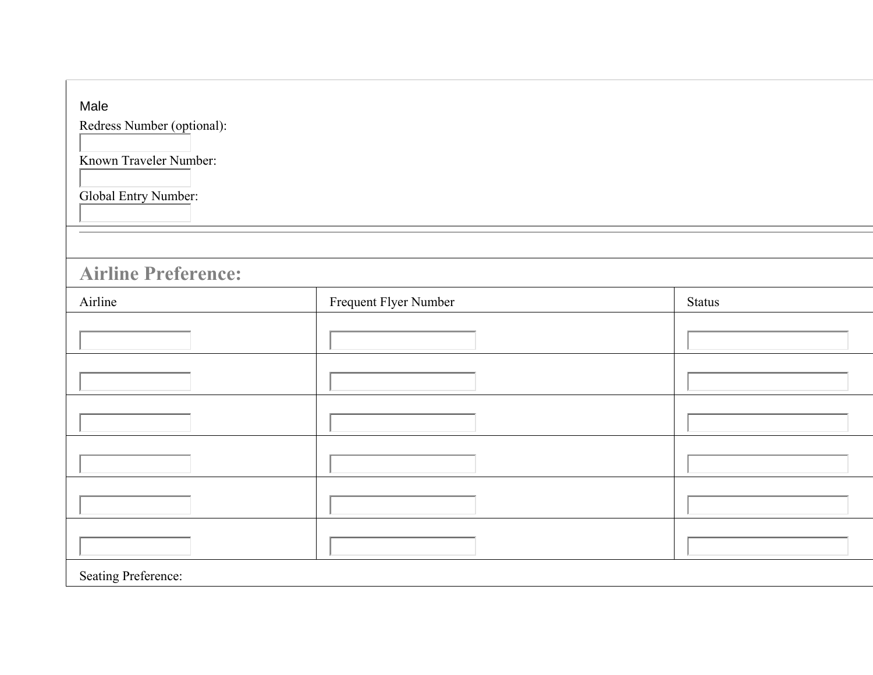| Male<br>Redress Number (optional):<br>Known Traveler Number:<br><b>Global Entry Number:</b> |                       |               |
|---------------------------------------------------------------------------------------------|-----------------------|---------------|
| <b>Airline Preference:</b>                                                                  |                       |               |
| Airline                                                                                     | Frequent Flyer Number | <b>Status</b> |
|                                                                                             |                       |               |
|                                                                                             |                       |               |
|                                                                                             |                       |               |
|                                                                                             |                       |               |
|                                                                                             |                       |               |
|                                                                                             |                       |               |
| <b>Seating Preference:</b>                                                                  |                       |               |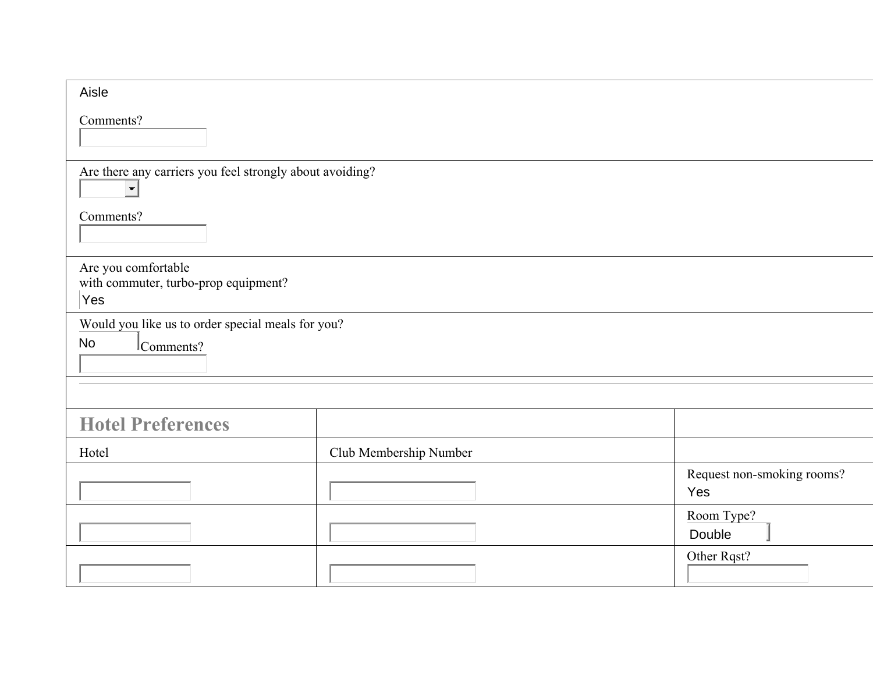| Aisle                                                                      |                        |                                   |  |  |
|----------------------------------------------------------------------------|------------------------|-----------------------------------|--|--|
| Comments?                                                                  |                        |                                   |  |  |
| Are there any carriers you feel strongly about avoiding?<br>$\blacksquare$ |                        |                                   |  |  |
| Comments?                                                                  |                        |                                   |  |  |
| Are you comfortable<br>with commuter, turbo-prop equipment?<br>Yes         |                        |                                   |  |  |
| Would you like us to order special meals for you?<br>No<br>Comments?       |                        |                                   |  |  |
|                                                                            |                        |                                   |  |  |
| <b>Hotel Preferences</b>                                                   |                        |                                   |  |  |
| Hotel                                                                      | Club Membership Number |                                   |  |  |
|                                                                            |                        | Request non-smoking rooms?<br>Yes |  |  |
|                                                                            |                        | Room Type?<br>Double              |  |  |
|                                                                            |                        | Other Rqst?                       |  |  |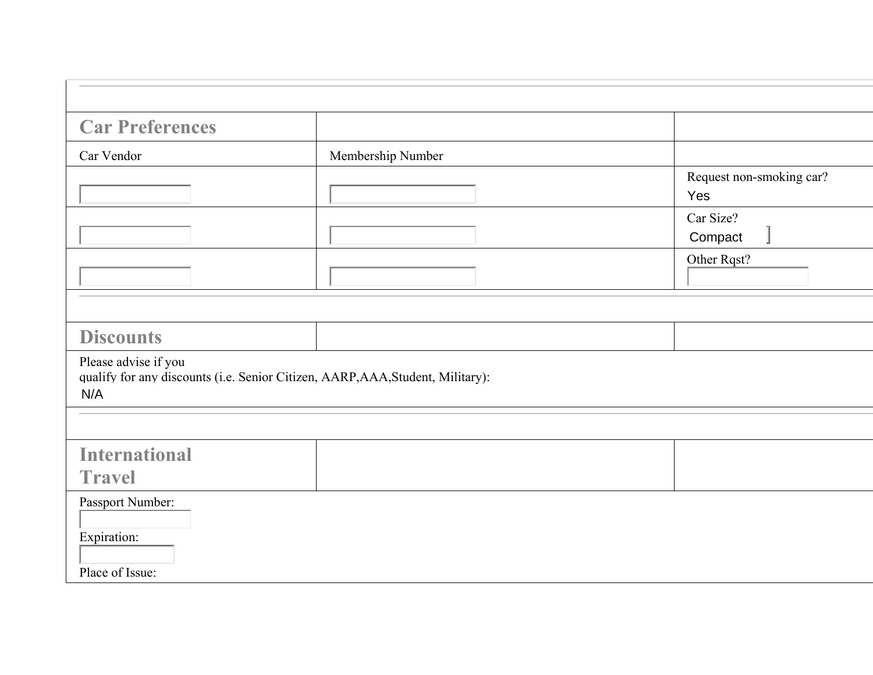| <b>Car Preferences</b>                             |                                                                                |                                 |
|----------------------------------------------------|--------------------------------------------------------------------------------|---------------------------------|
| Car Vendor                                         | Membership Number                                                              |                                 |
|                                                    |                                                                                | Request non-smoking car?<br>Yes |
|                                                    |                                                                                | Car Size?<br>Compact            |
|                                                    |                                                                                | Other Rqst?                     |
|                                                    |                                                                                |                                 |
| <b>Discounts</b>                                   |                                                                                |                                 |
| Please advise if you<br>N/A                        | qualify for any discounts (i.e. Senior Citizen, AARP, AAA, Student, Military): |                                 |
|                                                    |                                                                                |                                 |
| <b>International</b><br><b>Travel</b>              |                                                                                |                                 |
| Passport Number:<br>Expiration:<br>Place of Issue: |                                                                                |                                 |